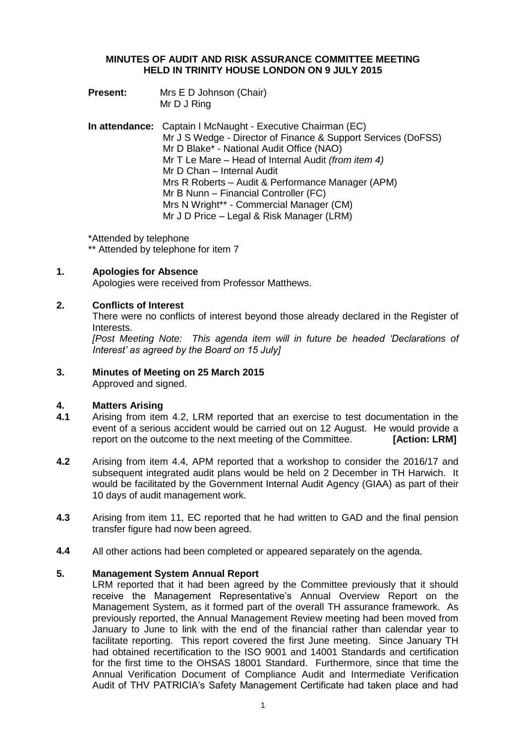# **MINUTES OF AUDIT AND RISK ASSURANCE COMMITTEE MEETING HELD IN TRINITY HOUSE LONDON ON 9 JULY 2015**

- **Present:** Mrs E D Johnson (Chair) Mr D J Ring
- **In attendance:** Captain I McNaught Executive Chairman (EC) Mr J S Wedge - Director of Finance & Support Services (DoFSS) Mr D Blake\* - National Audit Office (NAO) Mr T Le Mare – Head of Internal Audit *(from item 4)* Mr D Chan – Internal Audit Mrs R Roberts – Audit & Performance Manager (APM) Mr B Nunn – Financial Controller (FC) Mrs N Wright\*\* - Commercial Manager (CM) Mr J D Price – Legal & Risk Manager (LRM)

\*Attended by telephone \*\* Attended by telephone for item 7

# **1. Apologies for Absence**

Apologies were received from Professor Matthews.

# **2. Conflicts of Interest**

There were no conflicts of interest beyond those already declared in the Register of Interests.

*[Post Meeting Note: This agenda item will in future be headed 'Declarations of Interest' as agreed by the Board on 15 July]*

# **3. Minutes of Meeting on 25 March 2015**

Approved and signed.

# **4. Matters Arising**

- **4.1** Arising from item 4.2, LRM reported that an exercise to test documentation in the event of a serious accident would be carried out on 12 August. He would provide a report on the outcome to the next meeting of the Committee. **[Action: LRM]**
- **4.2** Arising from item 4.4, APM reported that a workshop to consider the 2016/17 and subsequent integrated audit plans would be held on 2 December in TH Harwich. It would be facilitated by the Government Internal Audit Agency (GIAA) as part of their 10 days of audit management work.
- **4.3** Arising from item 11, EC reported that he had written to GAD and the final pension transfer figure had now been agreed.
- **4.4** All other actions had been completed or appeared separately on the agenda.

# **5. Management System Annual Report**

LRM reported that it had been agreed by the Committee previously that it should receive the Management Representative's Annual Overview Report on the Management System, as it formed part of the overall TH assurance framework. As previously reported, the Annual Management Review meeting had been moved from January to June to link with the end of the financial rather than calendar year to facilitate reporting. This report covered the first June meeting. Since January TH had obtained recertification to the ISO 9001 and 14001 Standards and certification for the first time to the OHSAS 18001 Standard. Furthermore, since that time the Annual Verification Document of Compliance Audit and Intermediate Verification Audit of THV PATRICIA's Safety Management Certificate had taken place and had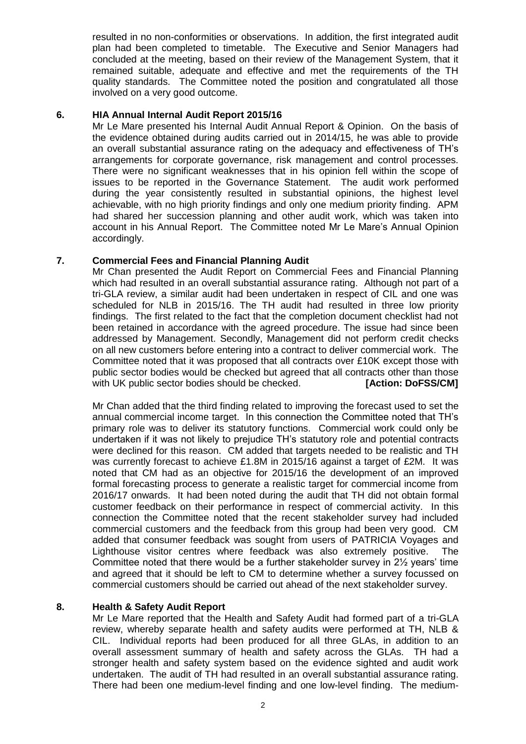resulted in no non-conformities or observations. In addition, the first integrated audit plan had been completed to timetable. The Executive and Senior Managers had concluded at the meeting, based on their review of the Management System, that it remained suitable, adequate and effective and met the requirements of the TH quality standards. The Committee noted the position and congratulated all those involved on a very good outcome.

# **6. HIA Annual Internal Audit Report 2015/16**

Mr Le Mare presented his Internal Audit Annual Report & Opinion. On the basis of the evidence obtained during audits carried out in 2014/15, he was able to provide an overall substantial assurance rating on the adequacy and effectiveness of TH's arrangements for corporate governance, risk management and control processes. There were no significant weaknesses that in his opinion fell within the scope of issues to be reported in the Governance Statement. The audit work performed during the year consistently resulted in substantial opinions, the highest level achievable, with no high priority findings and only one medium priority finding. APM had shared her succession planning and other audit work, which was taken into account in his Annual Report. The Committee noted Mr Le Mare's Annual Opinion accordingly.

# **7. Commercial Fees and Financial Planning Audit**

Mr Chan presented the Audit Report on Commercial Fees and Financial Planning which had resulted in an overall substantial assurance rating. Although not part of a tri-GLA review, a similar audit had been undertaken in respect of CIL and one was scheduled for NLB in 2015/16. The TH audit had resulted in three low priority findings. The first related to the fact that the completion document checklist had not been retained in accordance with the agreed procedure. The issue had since been addressed by Management. Secondly, Management did not perform credit checks on all new customers before entering into a contract to deliver commercial work. The Committee noted that it was proposed that all contracts over £10K except those with public sector bodies would be checked but agreed that all contracts other than those with UK public sector bodies should be checked. **[Action: DoFSS/CM]** 

Mr Chan added that the third finding related to improving the forecast used to set the annual commercial income target. In this connection the Committee noted that TH's primary role was to deliver its statutory functions. Commercial work could only be undertaken if it was not likely to prejudice TH's statutory role and potential contracts were declined for this reason. CM added that targets needed to be realistic and TH was currently forecast to achieve £1.8M in 2015/16 against a target of £2M. It was noted that CM had as an objective for 2015/16 the development of an improved formal forecasting process to generate a realistic target for commercial income from 2016/17 onwards. It had been noted during the audit that TH did not obtain formal customer feedback on their performance in respect of commercial activity. In this connection the Committee noted that the recent stakeholder survey had included commercial customers and the feedback from this group had been very good. CM added that consumer feedback was sought from users of PATRICIA Voyages and Lighthouse visitor centres where feedback was also extremely positive. The Committee noted that there would be a further stakeholder survey in  $2\frac{1}{2}$  years' time and agreed that it should be left to CM to determine whether a survey focussed on commercial customers should be carried out ahead of the next stakeholder survey.

# **8. Health & Safety Audit Report**

Mr Le Mare reported that the Health and Safety Audit had formed part of a tri-GLA review, whereby separate health and safety audits were performed at TH, NLB & CIL. Individual reports had been produced for all three GLAs, in addition to an overall assessment summary of health and safety across the GLAs. TH had a stronger health and safety system based on the evidence sighted and audit work undertaken. The audit of TH had resulted in an overall substantial assurance rating. There had been one medium-level finding and one low-level finding. The medium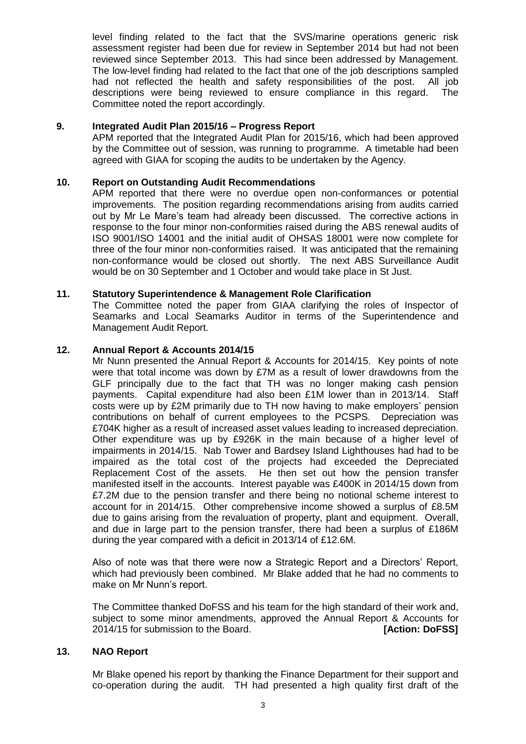level finding related to the fact that the SVS/marine operations generic risk assessment register had been due for review in September 2014 but had not been reviewed since September 2013. This had since been addressed by Management. The low-level finding had related to the fact that one of the job descriptions sampled had not reflected the health and safety responsibilities of the post. All job descriptions were being reviewed to ensure compliance in this regard. The Committee noted the report accordingly.

## **9. Integrated Audit Plan 2015/16 – Progress Report**

APM reported that the Integrated Audit Plan for 2015/16, which had been approved by the Committee out of session, was running to programme. A timetable had been agreed with GIAA for scoping the audits to be undertaken by the Agency.

# **10. Report on Outstanding Audit Recommendations**

APM reported that there were no overdue open non-conformances or potential improvements. The position regarding recommendations arising from audits carried out by Mr Le Mare's team had already been discussed. The corrective actions in response to the four minor non-conformities raised during the ABS renewal audits of ISO 9001/ISO 14001 and the initial audit of OHSAS 18001 were now complete for three of the four minor non-conformities raised. It was anticipated that the remaining non-conformance would be closed out shortly. The next ABS Surveillance Audit would be on 30 September and 1 October and would take place in St Just.

## **11. Statutory Superintendence & Management Role Clarification**

The Committee noted the paper from GIAA clarifying the roles of Inspector of Seamarks and Local Seamarks Auditor in terms of the Superintendence and Management Audit Report.

## **12. Annual Report & Accounts 2014/15**

Mr Nunn presented the Annual Report & Accounts for 2014/15. Key points of note were that total income was down by £7M as a result of lower drawdowns from the GLF principally due to the fact that TH was no longer making cash pension payments. Capital expenditure had also been £1M lower than in 2013/14. Staff costs were up by £2M primarily due to TH now having to make employers' pension contributions on behalf of current employees to the PCSPS. Depreciation was £704K higher as a result of increased asset values leading to increased depreciation. Other expenditure was up by £926K in the main because of a higher level of impairments in 2014/15. Nab Tower and Bardsey Island Lighthouses had had to be impaired as the total cost of the projects had exceeded the Depreciated Replacement Cost of the assets. He then set out how the pension transfer manifested itself in the accounts. Interest payable was £400K in 2014/15 down from £7.2M due to the pension transfer and there being no notional scheme interest to account for in 2014/15. Other comprehensive income showed a surplus of £8.5M due to gains arising from the revaluation of property, plant and equipment. Overall, and due in large part to the pension transfer, there had been a surplus of £186M during the year compared with a deficit in 2013/14 of £12.6M.

Also of note was that there were now a Strategic Report and a Directors' Report, which had previously been combined. Mr Blake added that he had no comments to make on Mr Nunn's report.

The Committee thanked DoFSS and his team for the high standard of their work and, subject to some minor amendments, approved the Annual Report & Accounts for 2014/15 for submission to the Board. **[Action: DoFSS]**

## **13. NAO Report**

Mr Blake opened his report by thanking the Finance Department for their support and co-operation during the audit. TH had presented a high quality first draft of the